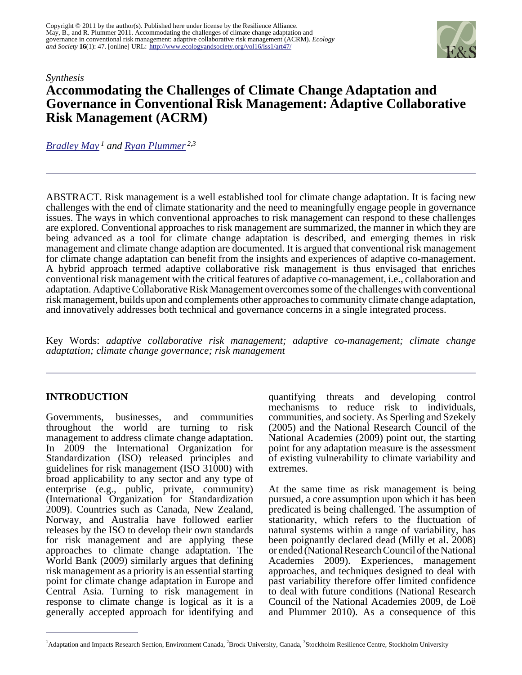

# *Synthesis* **Accommodating the Challenges of Climate Change Adaptation and Governance in Conventional Risk Management: Adaptive Collaborative Risk Management (ACRM)**

*[Bradley May](mailto:Bradley.May@ec.gc.ca)<sup>1</sup> and [Ryan Plummer](mailto:ryan.plummer@brocku.ca) 2,3*

ABSTRACT. Risk management is a well established tool for climate change adaptation. It is facing new challenges with the end of climate stationarity and the need to meaningfully engage people in governance issues. The ways in which conventional approaches to risk management can respond to these challenges are explored. Conventional approaches to risk management are summarized, the manner in which they are being advanced as a tool for climate change adaptation is described, and emerging themes in risk management and climate change adaption are documented. It is argued that conventional risk management for climate change adaptation can benefit from the insights and experiences of adaptive co-management. A hybrid approach termed adaptive collaborative risk management is thus envisaged that enriches conventional risk management with the critical features of adaptive co-management, i.e., collaboration and adaptation. Adaptive Collaborative Risk Management overcomes some of the challenges with conventional risk management, builds upon and complements other approaches to community climate change adaptation, and innovatively addresses both technical and governance concerns in a single integrated process.

Key Words: *adaptive collaborative risk management; adaptive co-management; climate change adaptation; climate change governance; risk management* 

### **INTRODUCTION**

Governments, businesses, and communities throughout the world are turning to risk management to address climate change adaptation. In 2009 the International Organization for Standardization (ISO) released principles and guidelines for risk management (ISO 31000) with broad applicability to any sector and any type of enterprise (e.g., public, private, community) (International Organization for Standardization 2009). Countries such as Canada, New Zealand, Norway, and Australia have followed earlier releases by the ISO to develop their own standards for risk management and are applying these approaches to climate change adaptation. The World Bank (2009) similarly argues that defining risk management as a priority is an essential starting point for climate change adaptation in Europe and Central Asia. Turning to risk management in response to climate change is logical as it is a generally accepted approach for identifying and

quantifying threats and developing control mechanisms to reduce risk to individuals, communities, and society. As Sperling and Szekely (2005) and the National Research Council of the National Academies (2009) point out, the starting point for any adaptation measure is the assessment of existing vulnerability to climate variability and extremes.

At the same time as risk management is being pursued, a core assumption upon which it has been predicated is being challenged. The assumption of stationarity, which refers to the fluctuation of natural systems within a range of variability, has been poignantly declared dead (Milly et al. 2008) or ended (National Research Council of the National Academies 2009). Experiences, management approaches, and techniques designed to deal with past variability therefore offer limited confidence to deal with future conditions (National Research Council of the National Academies 2009, de Loë and Plummer 2010). As a consequence of this

<sup>&</sup>lt;sup>1</sup>Adaptation and Impacts Research Section, Environment Canada, <sup>2</sup>Brock University, Canada, <sup>3</sup>Stockholm Resilience Centre, Stockholm University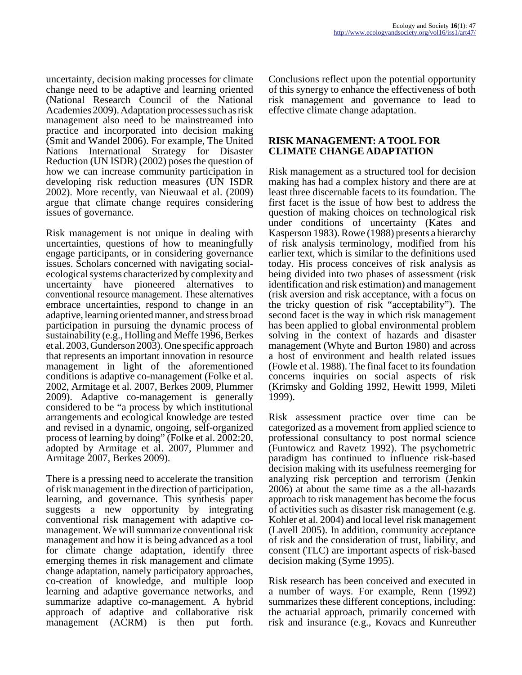uncertainty, decision making processes for climate change need to be adaptive and learning oriented (National Research Council of the National Academies 2009). Adaptation processes such as risk management also need to be mainstreamed into practice and incorporated into decision making (Smit and Wandel 2006). For example, The United Nations International Strategy for Disaster Reduction (UN ISDR) (2002) poses the question of how we can increase community participation in developing risk reduction measures (UN ISDR 2002). More recently, van Nieuwaal et al. (2009) argue that climate change requires considering issues of governance.

Risk management is not unique in dealing with uncertainties, questions of how to meaningfully engage participants, or in considering governance issues. Scholars concerned with navigating socialecological systems characterized by complexity and uncertainty have pioneered alternatives to conventional resource management. These alternatives embrace uncertainties, respond to change in an adaptive, learning oriented manner, and stress broad participation in pursuing the dynamic process of sustainability (e.g., Holling and Meffe 1996, Berkes et al. 2003, Gunderson 2003). One specific approach that represents an important innovation in resource management in light of the aforementioned conditions is adaptive co-management (Folke et al. 2002, Armitage et al. 2007, Berkes 2009, Plummer 2009). Adaptive co-management is generally considered to be "a process by which institutional arrangements and ecological knowledge are tested and revised in a dynamic, ongoing, self-organized process of learning by doing" (Folke et al. 2002:20, adopted by Armitage et al. 2007, Plummer and Armitage 2007, Berkes 2009).

There is a pressing need to accelerate the transition of risk management in the direction of participation, learning, and governance. This synthesis paper suggests a new opportunity by integrating conventional risk management with adaptive comanagement. We will summarize conventional risk management and how it is being advanced as a tool for climate change adaptation, identify three emerging themes in risk management and climate change adaptation, namely participatory approaches, co-creation of knowledge, and multiple loop learning and adaptive governance networks, and summarize adaptive co-management. A hybrid approach of adaptive and collaborative risk management (ACRM) is then put forth.

Conclusions reflect upon the potential opportunity of this synergy to enhance the effectiveness of both risk management and governance to lead to effective climate change adaptation.

### **RISK MANAGEMENT: A TOOL FOR CLIMATE CHANGE ADAPTATION**

Risk management as a structured tool for decision making has had a complex history and there are at least three discernable facets to its foundation. The first facet is the issue of how best to address the question of making choices on technological risk under conditions of uncertainty (Kates and Kasperson 1983). Rowe (1988) presents a hierarchy of risk analysis terminology, modified from his earlier text, which is similar to the definitions used today. His process conceives of risk analysis as being divided into two phases of assessment (risk identification and risk estimation) and management (risk aversion and risk acceptance, with a focus on the tricky question of risk "acceptability"). The second facet is the way in which risk management has been applied to global environmental problem solving in the context of hazards and disaster management (Whyte and Burton 1980) and across a host of environment and health related issues (Fowle et al. 1988). The final facet to its foundation concerns inquiries on social aspects of risk (Krimsky and Golding 1992, Hewitt 1999, Mileti 1999).

Risk assessment practice over time can be categorized as a movement from applied science to professional consultancy to post normal science (Funtowicz and Ravetz 1992). The psychometric paradigm has continued to influence risk-based decision making with its usefulness reemerging for analyzing risk perception and terrorism (Jenkin 2006) at about the same time as a the all-hazards approach to risk management has become the focus of activities such as disaster risk management (e.g. Kohler et al. 2004) and local level risk management (Lavell 2005). In addition, community acceptance of risk and the consideration of trust, liability, and consent (TLC) are important aspects of risk-based decision making (Syme 1995).

Risk research has been conceived and executed in a number of ways. For example, Renn (1992) summarizes these different conceptions, including: the actuarial approach, primarily concerned with risk and insurance (e.g., Kovacs and Kunreuther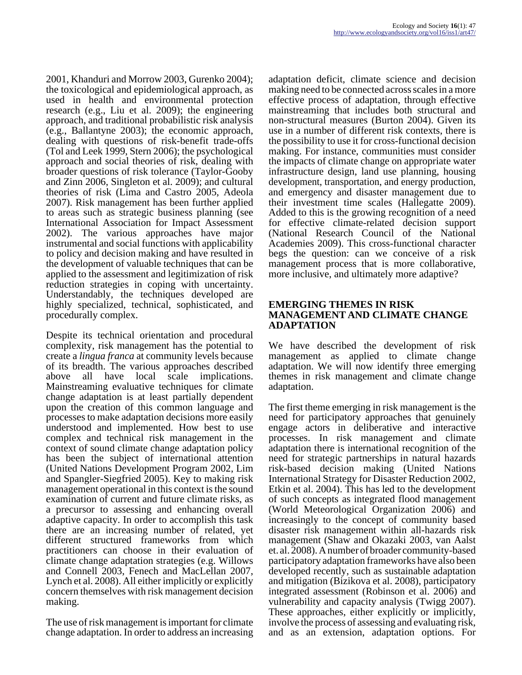2001, Khanduri and Morrow 2003, Gurenko 2004); the toxicological and epidemiological approach, as used in health and environmental protection research (e.g., Liu et al. 2009); the engineering approach, and traditional probabilistic risk analysis (e.g., Ballantyne 2003); the economic approach, dealing with questions of risk-benefit trade-offs (Tol and Leek 1999, Stern 2006); the psychological approach and social theories of risk, dealing with broader questions of risk tolerance (Taylor-Gooby and Zinn 2006, Singleton et al. 2009); and cultural theories of risk (Lima and Castro 2005, Adeola 2007). Risk management has been further applied to areas such as strategic business planning (see International Association for Impact Assessment 2002). The various approaches have major instrumental and social functions with applicability to policy and decision making and have resulted in the development of valuable techniques that can be applied to the assessment and legitimization of risk reduction strategies in coping with uncertainty. Understandably, the techniques developed are highly specialized, technical, sophisticated, and procedurally complex.

Despite its technical orientation and procedural complexity, risk management has the potential to create a *lingua franca* at community levels because of its breadth. The various approaches described above all have local scale implications. Mainstreaming evaluative techniques for climate change adaptation is at least partially dependent upon the creation of this common language and processes to make adaptation decisions more easily understood and implemented. How best to use complex and technical risk management in the context of sound climate change adaptation policy has been the subject of international attention (United Nations Development Program 2002, Lim and Spangler-Siegfried 2005). Key to making risk management operational in this context is the sound examination of current and future climate risks, as a precursor to assessing and enhancing overall adaptive capacity. In order to accomplish this task there are an increasing number of related, yet different structured frameworks from which practitioners can choose in their evaluation of climate change adaptation strategies (e.g. Willows and Connell 2003, Fenech and MacLellan 2007, Lynch et al. 2008). All either implicitly or explicitly concern themselves with risk management decision making.

The use of risk management is important for climate change adaptation. In order to address an increasing

adaptation deficit, climate science and decision making need to be connected across scales in a more effective process of adaptation, through effective mainstreaming that includes both structural and non-structural measures (Burton 2004). Given its use in a number of different risk contexts, there is the possibility to use it for cross-functional decision making. For instance, communities must consider the impacts of climate change on appropriate water infrastructure design, land use planning, housing development, transportation, and energy production, and emergency and disaster management due to their investment time scales (Hallegatte 2009). Added to this is the growing recognition of a need for effective climate-related decision support (National Research Council of the National Academies 2009). This cross-functional character begs the question: can we conceive of a risk management process that is more collaborative, more inclusive, and ultimately more adaptive?

### **EMERGING THEMES IN RISK MANAGEMENT AND CLIMATE CHANGE ADAPTATION**

We have described the development of risk management as applied to climate change adaptation. We will now identify three emerging themes in risk management and climate change adaptation.

The first theme emerging in risk management is the need for participatory approaches that genuinely engage actors in deliberative and interactive processes. In risk management and climate adaptation there is international recognition of the need for strategic partnerships in natural hazards risk-based decision making (United Nations International Strategy for Disaster Reduction 2002, Etkin et al. 2004). This has led to the development of such concepts as integrated flood management (World Meteorological Organization 2006) and increasingly to the concept of community based disaster risk management within all-hazards risk management (Shaw and Okazaki 2003, van Aalst et. al. 2008). A number of broader community-based participatory adaptation frameworks have also been developed recently, such as sustainable adaptation and mitigation (Bizikova et al. 2008), participatory integrated assessment (Robinson et al. 2006) and vulnerability and capacity analysis (Twigg 2007). These approaches, either explicitly or implicitly, involve the process of assessing and evaluating risk, and as an extension, adaptation options. For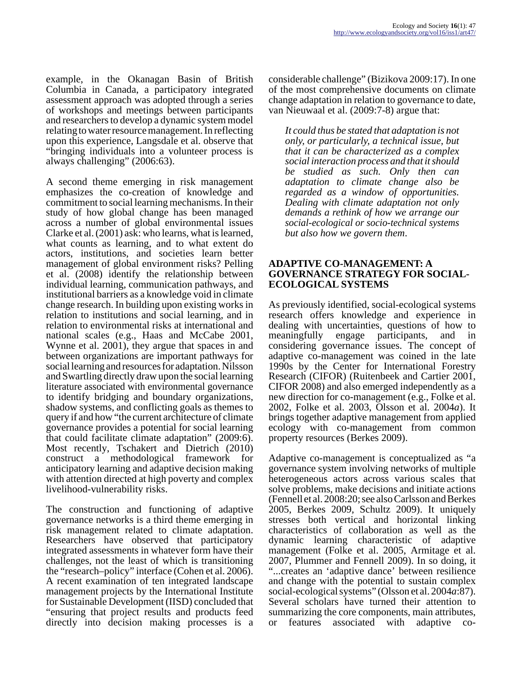example, in the Okanagan Basin of British Columbia in Canada, a participatory integrated assessment approach was adopted through a series of workshops and meetings between participants and researchers to develop a dynamic system model relating to water resource management. In reflecting upon this experience, Langsdale et al. observe that "bringing individuals into a volunteer process is always challenging" (2006:63).

A second theme emerging in risk management emphasizes the co-creation of knowledge and commitment to social learning mechanisms. In their study of how global change has been managed across a number of global environmental issues Clarke et al. (2001) ask: who learns, what is learned, what counts as learning, and to what extent do actors, institutions, and societies learn better management of global environment risks? Pelling et al. (2008) identify the relationship between individual learning, communication pathways, and institutional barriers as a knowledge void in climate change research. In building upon existing works in relation to institutions and social learning, and in relation to environmental risks at international and national scales (e.g., Haas and McCabe 2001, Wynne et al. 2001), they argue that spaces in and between organizations are important pathways for social learning and resources for adaptation. Nilsson and Swartling directly draw upon the social learning literature associated with environmental governance to identify bridging and boundary organizations, shadow systems, and conflicting goals as themes to query if and how "the current architecture of climate governance provides a potential for social learning that could facilitate climate adaptation" (2009:6). Most recently, Tschakert and Dietrich (2010) construct a methodological framework for anticipatory learning and adaptive decision making with attention directed at high poverty and complex livelihood-vulnerability risks.

The construction and functioning of adaptive governance networks is a third theme emerging in risk management related to climate adaptation. Researchers have observed that participatory integrated assessments in whatever form have their challenges, not the least of which is transitioning the "research–policy" interface (Cohen et al. 2006). A recent examination of ten integrated landscape management projects by the International Institute for Sustainable Development (IISD) concluded that "ensuring that project results and products feed directly into decision making processes is a

considerable challenge" (Bizikova 2009:17). In one of the most comprehensive documents on climate change adaptation in relation to governance to date, van Nieuwaal et al. (2009:7-8) argue that:

*It could thus be stated that adaptation is not only, or particularly, a technical issue, but that it can be characterized as a complex social interaction process and that it should be studied as such. Only then can adaptation to climate change also be regarded as a window of opportunities. Dealing with climate adaptation not only demands a rethink of how we arrange our social-ecological or socio-technical systems but also how we govern them*.

#### **ADAPTIVE CO-MANAGEMENT: A GOVERNANCE STRATEGY FOR SOCIAL-ECOLOGICAL SYSTEMS**

As previously identified, social-ecological systems research offers knowledge and experience in dealing with uncertainties, questions of how to meaningfully engage participants, and in considering governance issues. The concept of adaptive co-management was coined in the late 1990s by the Center for International Forestry Research (CIFOR) (Ruitenbeek and Cartier 2001, CIFOR 2008) and also emerged independently as a new direction for co-management (e.g., Folke et al. 2002, Folke et al. 2003, Olsson et al. 2004*a*). It brings together adaptive management from applied ecology with co-management from common property resources (Berkes 2009).

Adaptive co-management is conceptualized as "a governance system involving networks of multiple heterogeneous actors across various scales that solve problems, make decisions and initiate actions (Fennell et al. 2008:20; see also Carlsson and Berkes 2005, Berkes 2009, Schultz 2009). It uniquely stresses both vertical and horizontal linking characteristics of collaboration as well as the dynamic learning characteristic of adaptive management (Folke et al. 2005, Armitage et al. 2007, Plummer and Fennell 2009). In so doing, it "...creates an 'adaptive dance' between resilience and change with the potential to sustain complex social-ecological systems" (Olsson et al. 2004*a*:87). Several scholars have turned their attention to summarizing the core components, main attributes, or features associated with adaptive co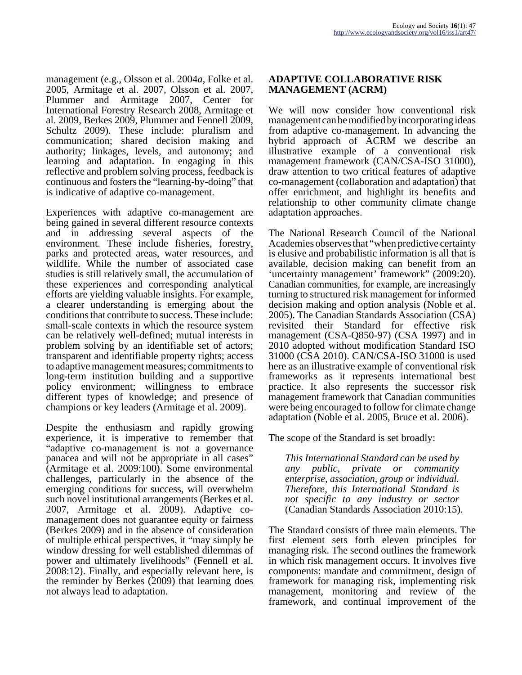management (e.g., Olsson et al. 2004*a*, Folke et al. 2005, Armitage et al. 2007, Olsson et al. 2007, Plummer and Armitage 2007, Center for International Forestry Research 2008, Armitage et al. 2009, Berkes 2009, Plummer and Fennell 2009, Schultz 2009). These include: pluralism and communication; shared decision making and authority; linkages, levels, and autonomy; and learning and adaptation. In engaging in this reflective and problem solving process, feedback is continuous and fosters the "learning-by-doing" that is indicative of adaptive co-management.

Experiences with adaptive co-management are being gained in several different resource contexts and in addressing several aspects of the environment. These include fisheries, forestry, parks and protected areas, water resources, and wildlife. While the number of associated case studies is still relatively small, the accumulation of these experiences and corresponding analytical efforts are yielding valuable insights. For example, a clearer understanding is emerging about the conditions that contribute to success. These include: small-scale contexts in which the resource system can be relatively well-defined; mutual interests in problem solving by an identifiable set of actors; transparent and identifiable property rights; access to adaptive management measures; commitments to long-term institution building and a supportive policy environment; willingness to embrace different types of knowledge; and presence of champions or key leaders (Armitage et al. 2009).

Despite the enthusiasm and rapidly growing experience, it is imperative to remember that "adaptive co-management is not a governance panacea and will not be appropriate in all cases" (Armitage et al. 2009:100). Some environmental challenges, particularly in the absence of the emerging conditions for success, will overwhelm such novel institutional arrangements (Berkes et al. 2007, Armitage et al. 2009). Adaptive comanagement does not guarantee equity or fairness (Berkes 2009) and in the absence of consideration of multiple ethical perspectives, it "may simply be window dressing for well established dilemmas of power and ultimately livelihoods" (Fennell et al. 2008:12). Finally, and especially relevant here, is the reminder by Berkes (2009) that learning does not always lead to adaptation.

# **ADAPTIVE COLLABORATIVE RISK MANAGEMENT (ACRM)**

We will now consider how conventional risk management can be modified by incorporating ideas from adaptive co-management. In advancing the hybrid approach of ACRM we describe an illustrative example of a conventional risk management framework (CAN/CSA-ISO 31000), draw attention to two critical features of adaptive co-management (collaboration and adaptation) that offer enrichment, and highlight its benefits and relationship to other community climate change adaptation approaches.

The National Research Council of the National Academies observes that "when predictive certainty is elusive and probabilistic information is all that is available, decision making can benefit from an 'uncertainty management' framework" (2009:20). Canadian communities, for example, are increasingly turning to structured risk management for informed decision making and option analysis (Noble et al. 2005). The Canadian Standards Association (CSA) revisited their Standard for effective risk management (CSA-Q850-97) (CSA 1997) and in 2010 adopted without modification Standard ISO 31000 (CSA 2010). CAN/CSA-ISO 31000 is used here as an illustrative example of conventional risk frameworks as it represents international best practice. It also represents the successor risk management framework that Canadian communities were being encouraged to follow for climate change adaptation (Noble et al. 2005, Bruce et al. 2006).

The scope of the Standard is set broadly:

*This International Standard can be used by any public, private or community enterprise, association, group or individual. Therefore, this International Standard is not specific to any industry or sector* (Canadian Standards Association 2010:15).

The Standard consists of three main elements. The first element sets forth eleven principles for managing risk. The second outlines the framework in which risk management occurs. It involves five components: mandate and commitment, design of framework for managing risk, implementing risk management, monitoring and review of the framework, and continual improvement of the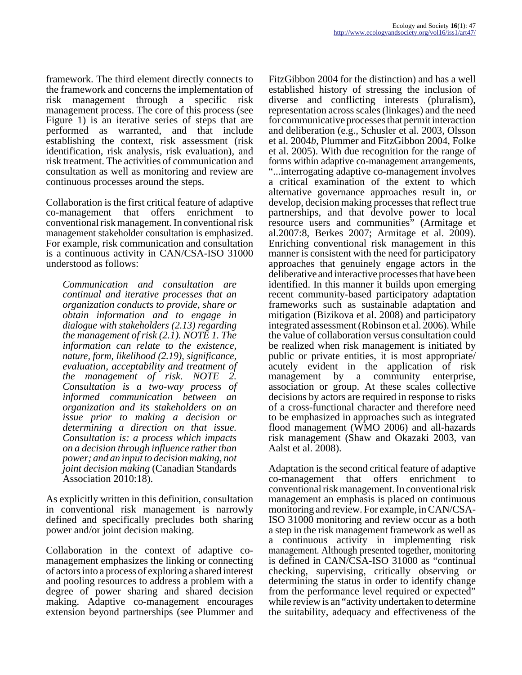framework. The third element directly connects to the framework and concerns the implementation of risk management through a specific risk management process. The core of this process (see Figure 1) is an iterative series of steps that are performed as warranted, and that include establishing the context, risk assessment (risk identification, risk analysis, risk evaluation), and risk treatment. The activities of communication and consultation as well as monitoring and review are continuous processes around the steps.

Collaboration is the first critical feature of adaptive co-management that offers enrichment to conventional risk management. In conventional risk management stakeholder consultation is emphasized. For example, risk communication and consultation is a continuous activity in CAN/CSA-ISO 31000 understood as follows:

*Communication and consultation are continual and iterative processes that an organization conducts to provide, share or obtain information and to engage in dialogue with stakeholders (2.13) regarding the management of risk (2.1). NOTE 1. The information can relate to the existence, nature, form, likelihood (2.19), significance, evaluation, acceptability and treatment of the management of risk. NOTE 2. Consultation is a two-way process of informed communication between an organization and its stakeholders on an issue prior to making a decision or determining a direction on that issue. Consultation is: a process which impacts on a decision through influence rather than power; and an input to decision making, not joint decision making* (Canadian Standards Association 2010:18).

As explicitly written in this definition, consultation in conventional risk management is narrowly defined and specifically precludes both sharing power and/or joint decision making.

Collaboration in the context of adaptive comanagement emphasizes the linking or connecting of actors into a process of exploring a shared interest and pooling resources to address a problem with a degree of power sharing and shared decision making. Adaptive co-management encourages extension beyond partnerships (see Plummer and

FitzGibbon 2004 for the distinction) and has a well established history of stressing the inclusion of diverse and conflicting interests (pluralism), representation across scales (linkages) and the need for communicative processes that permit interaction and deliberation (e.g., Schusler et al. 2003, Olsson et al. 2004*b*, Plummer and FitzGibbon 2004, Folke et al. 2005). With due recognition for the range of forms within adaptive co-management arrangements, "...interrogating adaptive co-management involves a critical examination of the extent to which alternative governance approaches result in, or develop, decision making processes that reflect true partnerships, and that devolve power to local resource users and communities" (Armitage et al.2007:8, Berkes 2007; Armitage et al. 2009). Enriching conventional risk management in this manner is consistent with the need for participatory approaches that genuinely engage actors in the deliberative and interactive processes that have been identified. In this manner it builds upon emerging recent community-based participatory adaptation frameworks such as sustainable adaptation and mitigation (Bizikova et al. 2008) and participatory integrated assessment (Robinson et al. 2006). While the value of collaboration versus consultation could be realized when risk management is initiated by public or private entities, it is most appropriate/ acutely evident in the application of risk management by a community enterprise, association or group. At these scales collective decisions by actors are required in response to risks of a cross-functional character and therefore need to be emphasized in approaches such as integrated flood management (WMO 2006) and all-hazards risk management (Shaw and Okazaki 2003, van Aalst et al. 2008).

Adaptation is the second critical feature of adaptive co-management that offers enrichment to conventional risk management. In conventional risk management an emphasis is placed on continuous monitoring and review. For example, in CAN/CSA-ISO 31000 monitoring and review occur as a both a step in the risk management framework as well as a continuous activity in implementing risk management. Although presented together, monitoring is defined in CAN/CSA-ISO 31000 as "continual checking, supervising, critically observing or determining the status in order to identify change from the performance level required or expected" while review is an "activity undertaken to determine the suitability, adequacy and effectiveness of the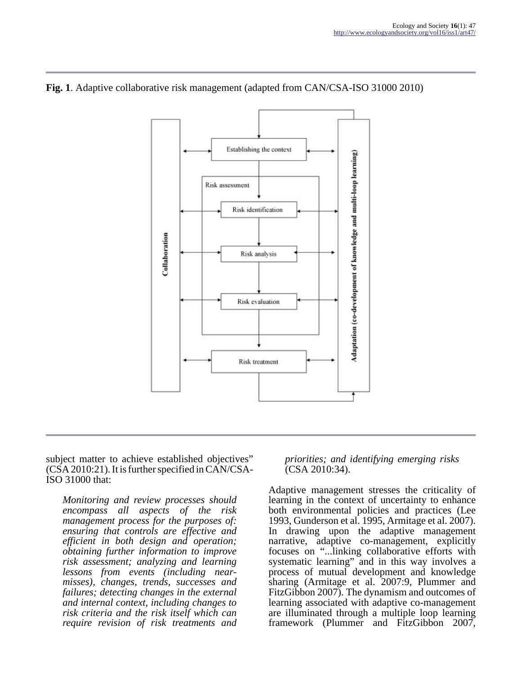

# **Fig. 1**. Adaptive collaborative risk management (adapted from CAN/CSA-ISO 31000 2010)

subject matter to achieve established objectives" (CSA 2010:21). It is further specified in CAN/CSA-ISO 31000 that:

*Monitoring and review processes should encompass all aspects of the risk management process for the purposes of: ensuring that controls are effective and efficient in both design and operation; obtaining further information to improve risk assessment; analyzing and learning lessons from events (including nearmisses), changes, trends, successes and failures; detecting changes in the external and internal context, including changes to risk criteria and the risk itself which can require revision of risk treatments and*

#### *priorities; and identifying emerging risks* (CSA 2010:34).

Adaptive management stresses the criticality of learning in the context of uncertainty to enhance both environmental policies and practices (Lee 1993, Gunderson et al. 1995, Armitage et al. 2007). In drawing upon the adaptive management narrative, adaptive co-management, explicitly focuses on "...linking collaborative efforts with systematic learning" and in this way involves a process of mutual development and knowledge sharing (Armitage et al. 2007:9, Plummer and FitzGibbon 2007). The dynamism and outcomes of learning associated with adaptive co-management are illuminated through a multiple loop learning framework (Plummer and FitzGibbon 2007,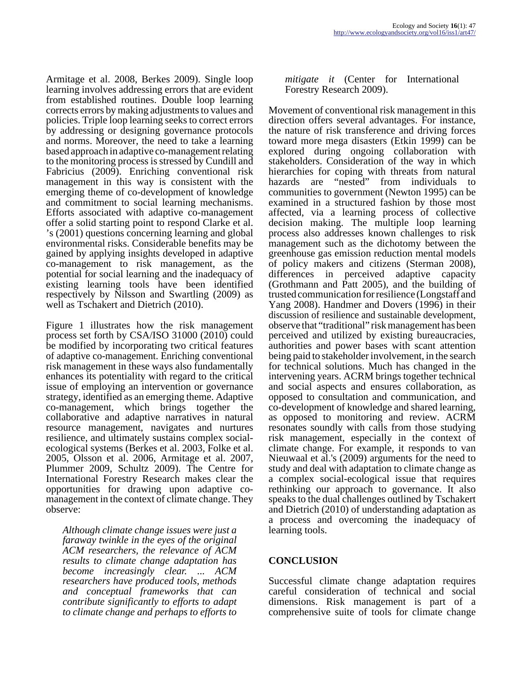Armitage et al. 2008, Berkes 2009). Single loop learning involves addressing errors that are evident from established routines. Double loop learning corrects errors by making adjustments to values and policies. Triple loop learning seeks to correct errors by addressing or designing governance protocols and norms. Moreover, the need to take a learning based approach in adaptive co-management relating to the monitoring process is stressed by Cundill and Fabricius (2009). Enriching conventional risk management in this way is consistent with the emerging theme of co-development of knowledge and commitment to social learning mechanisms. Efforts associated with adaptive co-management offer a solid starting point to respond Clarke et al. 's (2001) questions concerning learning and global environmental risks. Considerable benefits may be gained by applying insights developed in adaptive co-management to risk management, as the potential for social learning and the inadequacy of existing learning tools have been identified respectively by Nilsson and Swartling (2009) as well as Tschakert and Dietrich (2010).

Figure 1 illustrates how the risk management process set forth by CSA/ISO 31000 (2010) could be modified by incorporating two critical features of adaptive co-management. Enriching conventional risk management in these ways also fundamentally enhances its potentiality with regard to the critical issue of employing an intervention or governance strategy, identified as an emerging theme. Adaptive co-management, which brings together the collaborative and adaptive narratives in natural resource management, navigates and nurtures resilience, and ultimately sustains complex socialecological systems (Berkes et al. 2003, Folke et al. 2005, Olsson et al. 2006, Armitage et al. 2007, Plummer 2009, Schultz 2009). The Centre for International Forestry Research makes clear the opportunities for drawing upon adaptive comanagement in the context of climate change. They observe:

*Although climate change issues were just a faraway twinkle in the eyes of the original ACM researchers, the relevance of ACM results to climate change adaptation has become increasingly clear. ... ACM researchers have produced tools, methods and conceptual frameworks that can contribute significantly to efforts to adapt to climate change and perhaps to efforts to*

### *mitigate it* (Center for International Forestry Research 2009).

Movement of conventional risk management in this direction offers several advantages. For instance, the nature of risk transference and driving forces toward more mega disasters (Etkin 1999) can be explored during ongoing collaboration with stakeholders. Consideration of the way in which hierarchies for coping with threats from natural hazards are "nested" from individuals to communities to government (Newton 1995) can be examined in a structured fashion by those most affected, via a learning process of collective decision making. The multiple loop learning process also addresses known challenges to risk management such as the dichotomy between the greenhouse gas emission reduction mental models of policy makers and citizens (Sterman 2008), differences in perceived adaptive capacity (Grothmann and Patt 2005), and the building of trusted communication for resilience (Longstaff and Yang 2008). Handmer and Dovers (1996) in their discussion of resilience and sustainable development, observe that "traditional" risk management has been perceived and utilized by existing bureaucracies, authorities and power bases with scant attention being paid to stakeholder involvement, in the search for technical solutions. Much has changed in the intervening years. ACRM brings together technical and social aspects and ensures collaboration, as opposed to consultation and communication, and co-development of knowledge and shared learning, as opposed to monitoring and review. ACRM resonates soundly with calls from those studying risk management, especially in the context of climate change. For example, it responds to van Nieuwaal et al.'s (2009) arguments for the need to study and deal with adaptation to climate change as a complex social-ecological issue that requires rethinking our approach to governance. It also speaks to the dual challenges outlined by Tschakert and Dietrich (2010) of understanding adaptation as a process and overcoming the inadequacy of learning tools.

# **CONCLUSION**

Successful climate change adaptation requires careful consideration of technical and social dimensions. Risk management is part of a comprehensive suite of tools for climate change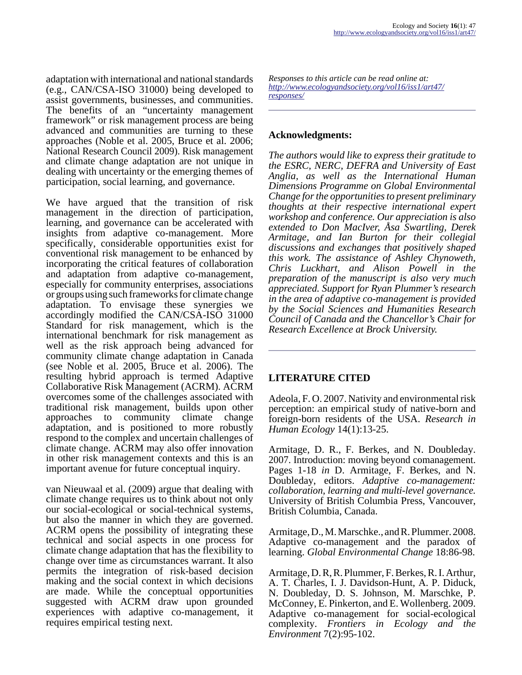adaptation with international and national standards (e.g., CAN/CSA-ISO 31000) being developed to assist governments, businesses, and communities. The benefits of an "uncertainty management framework" or risk management process are being advanced and communities are turning to these approaches (Noble et al. 2005, Bruce et al. 2006; National Research Council 2009). Risk management and climate change adaptation are not unique in dealing with uncertainty or the emerging themes of participation, social learning, and governance.

We have argued that the transition of risk management in the direction of participation, learning, and governance can be accelerated with insights from adaptive co-management. More specifically, considerable opportunities exist for conventional risk management to be enhanced by incorporating the critical features of collaboration and adaptation from adaptive co-management, especially for community enterprises, associations or groups using such frameworks for climate change adaptation. To envisage these synergies we accordingly modified the CAN/CSA-ISO 31000 Standard for risk management, which is the international benchmark for risk management as well as the risk approach being advanced for community climate change adaptation in Canada (see Noble et al. 2005, Bruce et al. 2006). The resulting hybrid approach is termed Adaptive Collaborative Risk Management (ACRM). ACRM overcomes some of the challenges associated with traditional risk management, builds upon other approaches to community climate change adaptation, and is positioned to more robustly respond to the complex and uncertain challenges of climate change. ACRM may also offer innovation in other risk management contexts and this is an important avenue for future conceptual inquiry.

van Nieuwaal et al. (2009) argue that dealing with climate change requires us to think about not only our social-ecological or social-technical systems, but also the manner in which they are governed. ACRM opens the possibility of integrating these technical and social aspects in one process for climate change adaptation that has the flexibility to change over time as circumstances warrant. It also permits the integration of risk-based decision making and the social context in which decisions are made. While the conceptual opportunities suggested with ACRM draw upon grounded experiences with adaptive co-management, it requires empirical testing next.

*Responses to this article can be read online at: [http://www](http://www.ecologyandsociety.org/vol16/iss1/art47/responses/).ecologyandsociety.org/vol16/iss1/art47/ responses/*

### **Acknowledgments:**

*The authors would like to express their gratitude to the ESRC, NERC, DEFRA and University of East Anglia, as well as the International Human Dimensions Programme on Global Environmental Change for the opportunities to present preliminary thoughts at their respective international expert workshop and conference. Our appreciation is also extended to Don MacIver, Åsa Swartling, Derek Armitage, and Ian Burton for their collegial discussions and exchanges that positively shaped this work. The assistance of Ashley Chynoweth, Chris Luckhart, and Alison Powell in the preparation of the manuscript is also very much appreciated. Support for Ryan Plummer's research in the area of adaptive co-management is provided by the Social Sciences and Humanities Research Council of Canada and the Chancellor's Chair for Research Excellence at Brock University.* 

### **LITERATURE CITED**

Adeola, F. O. 2007. Nativity and environmental risk perception: an empirical study of native-born and foreign-born residents of the USA. *Research in Human Ecology* 14(1):13-25.

Armitage, D. R., F. Berkes, and N. Doubleday. 2007. Introduction: moving beyond comanagement. Pages 1-18 *in* D. Armitage, F. Berkes, and N. Doubleday, editors. *Adaptive co-management: collaboration, learning and multi-level governance.* University of British Columbia Press, Vancouver, British Columbia, Canada.

Armitage, D., M. Marschke., and R. Plummer. 2008. Adaptive co-management and the paradox of learning. *Global Environmental Change* 18:86-98.

Armitage, D. R, R. Plummer, F. Berkes, R. I. Arthur, A. T. Charles, I. J. Davidson-Hunt, A. P. Diduck, N. Doubleday, D. S. Johnson, M. Marschke, P. McConney, E. Pinkerton, and E. Wollenberg. 2009. Adaptive co-management for social-ecological complexity. *Frontiers in Ecology and the Environment* 7(2):95-102.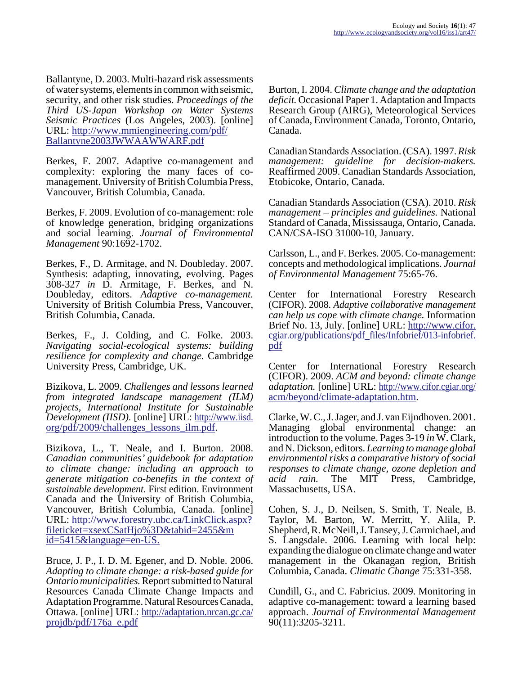Ballantyne, D. 2003. Multi-hazard risk assessments of water systems, elements in common with seismic, security, and other risk studies. *Proceedings of the Third US-Japan Workshop on Water Systems Seismic Practices* (Los Angeles, 2003). [online] URL: [http://www.mmiengineering.com/pdf/](http://www.mmiengineering.com/pdf/Ballantyne2003JWWAAWWARF.pdf) [Ballantyne2003JWWAAWWARF.pdf](http://www.mmiengineering.com/pdf/Ballantyne2003JWWAAWWARF.pdf)

Berkes, F. 2007. Adaptive co-management and complexity: exploring the many faces of comanagement. University of British Columbia Press, Vancouver, British Columbia, Canada.

Berkes, F. 2009. Evolution of co-management: role of knowledge generation, bridging organizations and social learning. *Journal of Environmental Management* 90:1692-1702.

Berkes, F., D. Armitage, and N. Doubleday. 2007. Synthesis: adapting, innovating, evolving. Pages 308-327 *in* D. Armitage, F. Berkes, and N. Doubleday, editors. *Adaptive co-management.* University of British Columbia Press, Vancouver, British Columbia, Canada.

Berkes, F., J. Colding, and C. Folke. 2003. *Navigating social-ecological systems: building resilience for complexity and change.* Cambridge University Press, Cambridge, UK.

Bizikova, L. 2009. *Challenges and lessons learned from integrated landscape management (ILM) projects, International Institute for Sustainable Development (IISD).* [online] URL: [http://www.iisd.](http://www.iisd.org/pdf/2009/challenges_lessons_ilm.pdf) [org/pdf/2009/challenges\\_lessons\\_ilm.pdf](http://www.iisd.org/pdf/2009/challenges_lessons_ilm.pdf).

Bizikova, L., T. Neale, and I. Burton. 2008. *Canadian communities' guidebook for adaptation to climate change: including an approach to generate mitigation co-benefits in the context of sustainable development.* First edition. Environment Canada and the University of British Columbia, Vancouver, British Columbia, Canada. [online] URL: [http://www.forestry.ubc.ca/LinkClick.aspx?](http://www.forestry.ubc.ca/LinkClick.aspx?fileticket=xsexCSatHjo%3D&tabid=2455&m id=5415&language=en-US.) [fileticket=xsexCSatHjo%3D&tabid=2455&m](http://www.forestry.ubc.ca/LinkClick.aspx?fileticket=xsexCSatHjo%3D&tabid=2455&m id=5415&language=en-US.) [id=5415&language=en-US.](http://www.forestry.ubc.ca/LinkClick.aspx?fileticket=xsexCSatHjo%3D&tabid=2455&m id=5415&language=en-US.)

Bruce, J. P., I. D. M. Egener, and D. Noble. 2006. *Adapting to climate change: a risk-based guide for Ontario municipalities.* Report submitted to Natural Resources Canada Climate Change Impacts and Adaptation Programme. Natural Resources Canada, Ottawa. [online] URL: [http://adaptation.nrcan.gc.ca/](http://adaptation.nrcan.gc.ca/projdb/pdf/176a_e.pdf) [projdb/pdf/176a\\_e.pdf](http://adaptation.nrcan.gc.ca/projdb/pdf/176a_e.pdf)

Burton, I. 2004. *Climate change and the adaptation deficit.* Occasional Paper 1. Adaptation and Impacts Research Group (AIRG), Meteorological Services of Canada, Environment Canada, Toronto, Ontario, Canada.

Ecology and Society **16**(1): 47

<http://www.ecologyandsociety.org/vol16/iss1/art47/>

Canadian Standards Association. (CSA). 1997. *Risk management: guideline for decision-makers.* Reaffirmed 2009. Canadian Standards Association, Etobicoke, Ontario, Canada.

Canadian Standards Association (CSA). 2010. *Risk management – principles and guidelines.* National Standard of Canada, Mississauga, Ontario, Canada. CAN/CSA-ISO 31000-10, January.

Carlsson, L., and F. Berkes. 2005. Co-management: concepts and methodological implications. *Journal of Environmental Management* 75:65-76.

Center for International Forestry Research (CIFOR). 2008. *Adaptive collaborative management can help us cope with climate change.* Information Brief No. 13, July. [online] URL: [http://www.cifor.](http://www.cifor.cgiar.org/publications/pdf_files/Infobrief/013-infobrief.pdf) cgiar.org/publications/pdf\_files/Infobrief/013-infobrief. [pdf](http://www.cifor.cgiar.org/publications/pdf_files/Infobrief/013-infobrief.pdf)

Center for International Forestry Research (CIFOR). 2009. *ACM and beyond: climate change adaptation.* [online] URL: [http://www.cifor.cgiar.org/](http://www.cifor.cgiar.org/acm/beyond/climate-adaptation.htm) [acm/beyond/climate-adaptation.htm.](http://www.cifor.cgiar.org/acm/beyond/climate-adaptation.htm)

Clarke, W. C., J. Jager, and J. van Eijndhoven. 2001. Managing global environmental change: an introduction to the volume. Pages 3-19 *in* W. Clark, and N. Dickson, editors. *Learning to manage global environmental risks a comparative history of social responses to climate change, ozone depletion and acid rain.* The MIT Press, Cambridge, Massachusetts, USA.

Cohen, S. J., D. Neilsen, S. Smith, T. Neale, B. Taylor, M. Barton, W. Merritt, Y. Alila, P. Shepherd, R. McNeill, J. Tansey, J. Carmichael, and S. Langsdale. 2006. Learning with local help: expanding the dialogue on climate change and water management in the Okanagan region, British Columbia, Canada. *Climatic Change* 75:331-358.

Cundill, G., and C. Fabricius. 2009. Monitoring in adaptive co-management: toward a learning based approach. *Journal of Environmental Management* 90(11):3205-3211.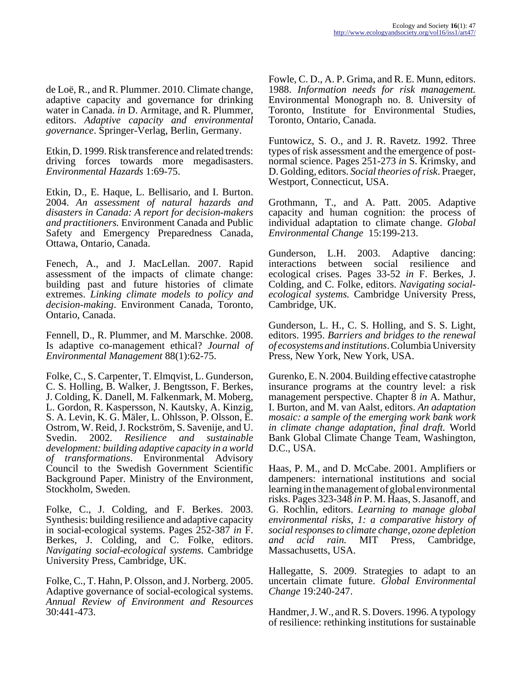de Loë, R., and R. Plummer. 2010. Climate change, adaptive capacity and governance for drinking water in Canada. *in* D. Armitage, and R. Plummer, editors. *Adaptive capacity and environmental governance*. Springer-Verlag, Berlin, Germany.

Etkin, D. 1999. Risk transference and related trends: driving forces towards more megadisasters. *Environmental Hazards* 1:69-75.

Etkin, D., E. Haque, L. Bellisario, and I. Burton. 2004. *An assessment of natural hazards and disasters in Canada: A report for decision-makers and practitioners.* Environment Canada and Public Safety and Emergency Preparedness Canada, Ottawa, Ontario, Canada.

Fenech, A., and J. MacLellan. 2007. Rapid assessment of the impacts of climate change: building past and future histories of climate extremes. *Linking climate models to policy and decision-making*. Environment Canada, Toronto, Ontario, Canada.

Fennell, D., R. Plummer, and M. Marschke. 2008. Is adaptive co-management ethical? *Journal of Environmental Management* 88(1):62-75.

Folke, C., S. Carpenter, T. Elmqvist, L. Gunderson, C. S. Holling, B. Walker, J. Bengtsson, F. Berkes, J. Colding, K. Danell, M. Falkenmark, M. Moberg, L. Gordon, R. Kaspersson, N. Kautsky, A. Kinzig, S. A. Levin, K. G. Mäler, L. Ohlsson, P. Olsson, E. Ostrom, W. Reid, J. Rockström, S. Savenije, and U. Svedin. 2002. *Resilience and sustainable development: building adaptive capacity in a world of transformations*. Environmental Advisory Council to the Swedish Government Scientific Background Paper. Ministry of the Environment, Stockholm, Sweden.

Folke, C., J. Colding, and F. Berkes. 2003. Synthesis: building resilience and adaptive capacity in social-ecological systems. Pages 252-387 *in* F. Berkes, J. Colding, and C. Folke, editors. *Navigating social-ecological systems.* Cambridge University Press, Cambridge, UK.

Folke, C., T. Hahn, P. Olsson, and J. Norberg. 2005. Adaptive governance of social-ecological systems. *Annual Review of Environment and Resources* 30:441-473.

Fowle, C. D., A. P. Grima, and R. E. Munn, editors. 1988. *Information needs for risk management.* Environmental Monograph no. 8. University of Toronto, Institute for Environmental Studies, Toronto, Ontario, Canada.

Funtowicz, S. O., and J. R. Ravetz. 1992. Three types of risk assessment and the emergence of postnormal science. Pages 251-273 *in* S. Krimsky, and D. Golding, editors. *Social theories of risk*. Praeger, Westport, Connecticut, USA.

Grothmann, T., and A. Patt. 2005. Adaptive capacity and human cognition: the process of individual adaptation to climate change. *Global Environmental Change* 15:199-213.

Gunderson, L.H. 2003. Adaptive dancing: interactions between social resilience and ecological crises. Pages 33-52 *in* F. Berkes, J. Colding, and C. Folke, editors. *Navigating socialecological systems.* Cambridge University Press, Cambridge, UK.

Gunderson, L. H., C. S. Holling, and S. S. Light, editors. 1995. *Barriers and bridges to the renewal of ecosystems and institutions*. Columbia University Press, New York, New York, USA.

Gurenko, E. N. 2004. Building effective catastrophe insurance programs at the country level: a risk management perspective. Chapter 8 *in* A. Mathur, I. Burton, and M. van Aalst, editors. *An adaptation mosaic: a sample of the emerging work bank work in climate change adaptation, final draft.* World Bank Global Climate Change Team, Washington, D.C., USA.

Haas, P. M., and D. McCabe. 2001. Amplifiers or dampeners: international institutions and social learning in the management of global environmental risks. Pages 323-348 *in* P. M. Haas, S. Jasanoff, and G. Rochlin, editors. *Learning to manage global environmental risks, 1: a comparative history of social responses to climate change, ozone depletion and acid rain.* MIT Press, Cambridge, Massachusetts, USA.

Hallegatte, S. 2009. Strategies to adapt to an uncertain climate future. *Global Environmental Change* 19:240-247.

Handmer, J. W., and R. S. Dovers. 1996. A typology of resilience: rethinking institutions for sustainable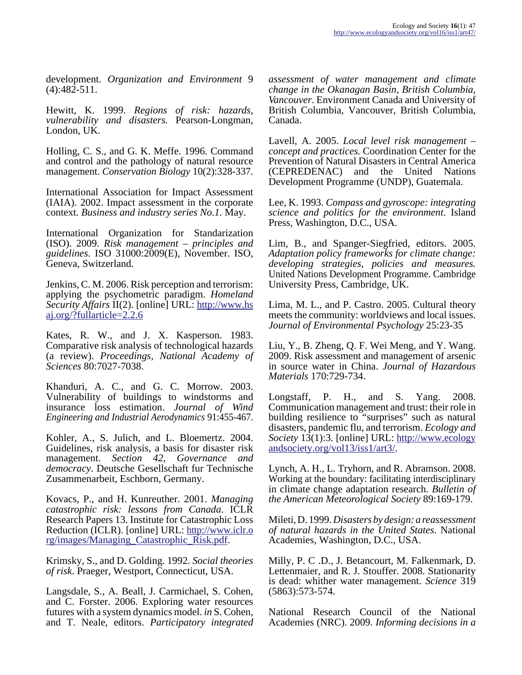development. *Organization and Environment* 9 (4):482-511.

Hewitt, K. 1999. *Regions of risk: hazards, vulnerability and disasters.* Pearson-Longman, London, UK.

Holling, C. S., and G. K. Meffe. 1996. Command and control and the pathology of natural resource management. *Conservation Biology* 10(2):328-337.

International Association for Impact Assessment (IAIA). 2002. Impact assessment in the corporate context. *Business and industry series No.1.* May.

International Organization for Standarization (ISO). 2009. *Risk management – principles and guidelines*. ISO 31000:2009(E), November. ISO, Geneva, Switzerland.

Jenkins, C. M. 2006. Risk perception and terrorism: applying the psychometric paradigm. *Homeland Security Affairs* II(2). [online] URL: [http://www.hs](http://www.hsaj.org/?fullarticle=2.2.6) [aj.org/?fullarticle=2.2.6](http://www.hsaj.org/?fullarticle=2.2.6)

Kates, R. W., and J. X. Kasperson. 1983. Comparative risk analysis of technological hazards (a review). *Proceedings, National Academy of Sciences* 80:7027-7038.

Khanduri, A. C., and G. C. Morrow. 2003. Vulnerability of buildings to windstorms and insurance loss estimation. *Journal of Wind Engineering and Industrial Aerodynamics* 91:455-467.

Kohler, A., S. Julich, and L. Bloemertz. 2004. Guidelines, risk analysis, a basis for disaster risk management. *Section 42, Governance and democracy*. Deutsche Gesellschaft fur Technische Zusammenarbeit, Eschborn, Germany.

Kovacs, P., and H. Kunreuther. 2001. *Managing catastrophic risk: lessons from Canada*. ICLR Research Papers 13. Institute for Catastrophic Loss Reduction (ICLR). [online] URL: [http://www.iclr.o](http://www.iclr.org/images/Managing_Catastrophic_Risk.pdf) [rg/images/Managing\\_Catastrophic\\_Risk.pdf.](http://www.iclr.org/images/Managing_Catastrophic_Risk.pdf)

Krimsky, S., and D. Golding. 1992. *Social theories of risk*. Praeger, Westport, Connecticut, USA.

Langsdale, S., A. Beall, J. Carmichael, S. Cohen, and C. Forster. 2006. Exploring water resources futures with a system dynamics model. *in* S. Cohen, and T. Neale, editors. *Participatory integrated* *assessment of water management and climate change in the Okanagan Basin, British Columbia, Vancouver*. Environment Canada and University of British Columbia, Vancouver, British Columbia, Canada.

Lavell, A. 2005. *Local level risk management – concept and practices.* Coordination Center for the Prevention of Natural Disasters in Central America<br>(CEPREDENAC) and the United Nations and the United Nations Development Programme (UNDP), Guatemala.

Lee, K. 1993. *Compass and gyroscope: integrating science and politics for the environment*. Island Press, Washington, D.C., USA.

Lim, B., and Spanger-Siegfried, editors. 2005. *Adaptation policy frameworks for climate change: developing strategies, policies and measures.* United Nations Development Programme. Cambridge University Press, Cambridge, UK.

Lima, M. L., and P. Castro. 2005. Cultural theory meets the community: worldviews and local issues. *Journal of Environmental Psychology* 25:23-35

Liu, Y., B. Zheng, Q. F. Wei Meng, and Y. Wang. 2009. Risk assessment and management of arsenic in source water in China. *Journal of Hazardous Materials* 170:729-734.

Longstaff, P. H., and S. Yang. 2008. Communication management and trust: their role in building resilience to "surprises" such as natural disasters, pandemic flu, and terrorism. *Ecology and Society* 13(1):3. [online] URL: [http://www.ecology](http://www.ecologyandsociety.org/vol13/iss1/art3/) [andsociety.org/vol13/iss1/art3/](http://www.ecologyandsociety.org/vol13/iss1/art3/).

Lynch, A. H., L. Tryhorn, and R. Abramson. 2008. Working at the boundary: facilitating interdisciplinary in climate change adaptation research. *Bulletin of the American Meteorological Society* 89:169-179.

Mileti, D. 1999. *Disasters by design: a reassessment of natural hazards in the United States*. National Academies, Washington, D.C., USA.

Milly, P. C .D., J. Betancourt, M. Falkenmark, D. Lettenmaier, and R. J. Stouffer. 2008. Stationarity is dead: whither water management. *Science* 319 (5863):573-574.

National Research Council of the National Academies (NRC). 2009. *Informing decisions in a*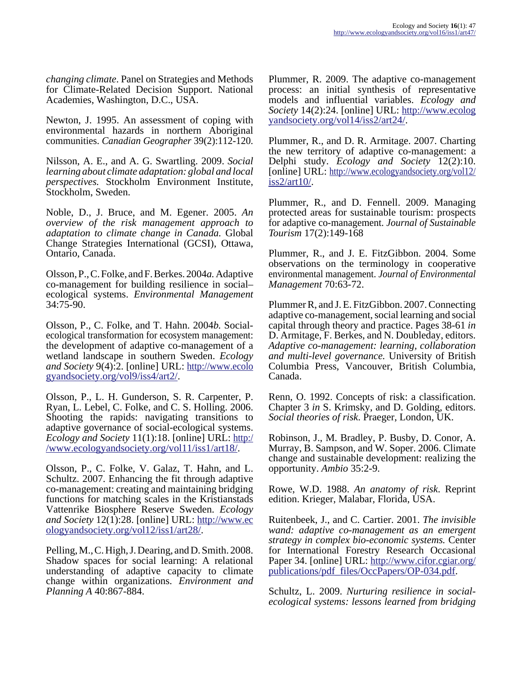*changing climate*. Panel on Strategies and Methods for Climate-Related Decision Support. National Academies, Washington, D.C., USA.

Newton, J. 1995. An assessment of coping with environmental hazards in northern Aboriginal communities. *Canadian Geographer* 39(2):112-120.

Nilsson, A. E., and A. G. Swartling. 2009. *Social learning about climate adaptation: global and local perspectives.* Stockholm Environment Institute, Stockholm, Sweden.

Noble, D., J. Bruce, and M. Egener. 2005. *An overview of the risk management approach to adaptation to climate change in Canada.* Global Change Strategies International (GCSI), Ottawa, Ontario, Canada.

Olsson, P., C. Folke, and F. Berkes. 2004*a.* Adaptive co-management for building resilience in social– ecological systems. *Environmental Management* 34:75-90.

Olsson, P., C. Folke, and T. Hahn. 2004*b.* Socialecological transformation for ecosystem management: the development of adaptive co-management of a wetland landscape in southern Sweden. *Ecology and Society* 9(4):2. [online] URL: [http://www.ecolo](http://www.ecologyandsociety.org/vol9/iss4/art2/) [gyandsociety.org/vol9/iss4/art2/](http://www.ecologyandsociety.org/vol9/iss4/art2/).

Olsson, P., L. H. Gunderson, S. R. Carpenter, P. Ryan, L. Lebel, C. Folke, and C. S. Holling. 2006. Shooting the rapids: navigating transitions to adaptive governance of social-ecological systems. *Ecology and Society* 11(1):18. [online] URL: [http:/](http://www.ecologyandsociety.org/vol11/iss1/art18/) [/www.ecologyandsociety.org/vol11/iss1/art18/.](http://www.ecologyandsociety.org/vol11/iss1/art18/)

Olsson, P., C. Folke, V. Galaz, T. Hahn, and L. Schultz. 2007. Enhancing the fit through adaptive co-management: creating and maintaining bridging functions for matching scales in the Kristianstads Vattenrike Biosphere Reserve Sweden. *Ecology and Society* 12(1):28. [online] URL: [http://www.ec](http://www.ecologyandsociety.org/vol12/iss1/art28/) [ologyandsociety.org/vol12/iss1/art28/.](http://www.ecologyandsociety.org/vol12/iss1/art28/)

Pelling, M., C. High, J. Dearing, and D. Smith. 2008. Shadow spaces for social learning: A relational understanding of adaptive capacity to climate change within organizations. *Environment and Planning A* 40:867-884.

Plummer, R. 2009. The adaptive co-management process: an initial synthesis of representative models and influential variables. *Ecology and Society* 14(2):24. [online] URL: [http://www.ecolog](http://www.ecologyandsociety.org/vol14/iss2/art24/) [yandsociety.org/vol14/iss2/art24/](http://www.ecologyandsociety.org/vol14/iss2/art24/).

Plummer, R., and D. R. Armitage. 2007. Charting the new territory of adaptive co-management: a Delphi study. *Ecology and Society* 12(2):10. [online] URL: [http://www.ecologyandsociety.org/vol12/](http://www.ecologyandsociety.org/vol12/iss2/art10/) [iss2/art10/](http://www.ecologyandsociety.org/vol12/iss2/art10/).

Plummer, R., and D. Fennell. 2009. Managing protected areas for sustainable tourism: prospects for adaptive co-management. *Journal of Sustainable Tourism* 17(2):149-168

Plummer, R., and J. E. FitzGibbon. 2004. Some observations on the terminology in cooperative environmental management. *Journal of Environmental Management* 70:63-72.

Plummer R, and J. E. FitzGibbon. 2007. Connecting adaptive co-management, social learning and social capital through theory and practice. Pages 38-61 *in* D. Armitage, F. Berkes, and N. Doubleday, editors. *Adaptive co-management: learning, collaboration and multi-level governance.* University of British Columbia Press, Vancouver, British Columbia, Canada.

Renn, O. 1992. Concepts of risk: a classification. Chapter 3 *in* S. Krimsky, and D. Golding, editors. *Social theories of risk*. Praeger, London, UK.

Robinson, J., M. Bradley, P. Busby, D. Conor, A. Murray, B. Sampson, and W. Soper. 2006. Climate change and sustainable development: realizing the opportunity. *Ambio* 35:2-9.

Rowe, W.D. 1988. *An anatomy of risk*. Reprint edition. Krieger, Malabar, Florida, USA.

Ruitenbeek, J., and C. Cartier. 2001. *The invisible wand: adaptive co-management as an emergent strategy in complex bio-economic systems.* Center for International Forestry Research Occasional Paper 34. [online] URL: [http://www.cifor.cgiar.org/](http://www.cifor.cgiar.org/publications/pdf_files/OccPapers/OP-034.pdf) [publications/pdf\\_files/OccPapers/OP-034.pdf.](http://www.cifor.cgiar.org/publications/pdf_files/OccPapers/OP-034.pdf)

Schultz, L. 2009. *Nurturing resilience in socialecological systems: lessons learned from bridging*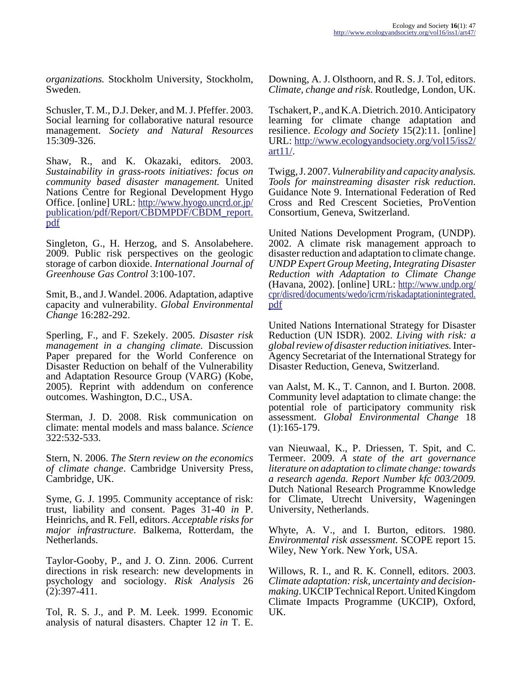*organizations.* Stockholm University, Stockholm, Sweden.

Schusler, T. M., D.J. Deker, and M. J. Pfeffer. 2003. Social learning for collaborative natural resource management. *Society and Natural Resources* 15:309-326.

Shaw, R., and K. Okazaki, editors. 2003. *Sustainability in grass-roots initiatives: focus on community based disaster management.* United Nations Centre for Regional Development Hygo Office. [online] URL: [http://www.hyogo.uncrd.or.jp/](http://www.hyogo.uncrd.or.jp/publication/pdf/Report/CBDMPDF/CBDM_report.pdf) publication/pdf/Report/CBDMPDF/CBDM\_report. [pdf](http://www.hyogo.uncrd.or.jp/publication/pdf/Report/CBDMPDF/CBDM_report.pdf)

Singleton, G., H. Herzog, and S. Ansolabehere. 2009. Public risk perspectives on the geologic storage of carbon dioxide. *International Journal of Greenhouse Gas Control* 3:100-107.

Smit, B., and J. Wandel. 2006. Adaptation, adaptive capacity and vulnerability. *Global Environmental Change* 16:282-292.

Sperling, F., and F. Szekely. 2005. *Disaster risk management in a changing climate.* Discussion Paper prepared for the World Conference on Disaster Reduction on behalf of the Vulnerability and Adaptation Resource Group (VARG) (Kobe, 2005). Reprint with addendum on conference outcomes. Washington, D.C., USA.

Sterman, J. D. 2008. Risk communication on climate: mental models and mass balance. *Science* 322:532-533.

Stern, N. 2006. *The Stern review on the economics of climate change*. Cambridge University Press, Cambridge, UK.

Syme, G. J. 1995. Community acceptance of risk: trust, liability and consent. Pages 31-40 *in* P. Heinrichs, and R. Fell, editors. *Acceptable risks for major infrastructure*. Balkema, Rotterdam, the Netherlands.

Taylor-Gooby, P., and J. O. Zinn. 2006. Current directions in risk research: new developments in psychology and sociology. *Risk Analysis* 26 (2):397-411.

Tol, R. S. J., and P. M. Leek. 1999. Economic analysis of natural disasters. Chapter 12 *in* T. E.

Downing, A. J. Olsthoorn, and R. S. J. Tol, editors. *Climate, change and risk*. Routledge, London, UK.

Tschakert, P., and K.A. Dietrich. 2010. Anticipatory learning for climate change adaptation and resilience. *Ecology and Society* 15(2):11. [online] URL: [http://www.ecologyandsociety.org/vol15/iss2/](http://www.ecologyandsociety.org/vol15/iss2/art11/) [art11/.](http://www.ecologyandsociety.org/vol15/iss2/art11/)

Twigg, J. 2007. *Vulnerability and capacity analysis. Tools for mainstreaming disaster risk reduction*. Guidance Note 9. International Federation of Red Cross and Red Crescent Societies, ProVention Consortium, Geneva, Switzerland.

United Nations Development Program, (UNDP). 2002. A climate risk management approach to disaster reduction and adaptation to climate change. *UNDP Expert Group Meeting, Integrating Disaster Reduction with Adaptation to Climate Change* (Havana, 2002). [online] URL: [http://www.undp.org/](http://www.undp.org/cpr/disred/documents/wedo/icrm/riskadaptationintegrated.pdf) cpr/disred/documents/wedo/icrm/riskadaptationintegrated. [pdf](http://www.undp.org/cpr/disred/documents/wedo/icrm/riskadaptationintegrated.pdf)

United Nations International Strategy for Disaster Reduction (UN ISDR). 2002. *Living with risk: a global review of disaster reduction initiatives.* Inter-Agency Secretariat of the International Strategy for Disaster Reduction, Geneva, Switzerland.

van Aalst, M. K., T. Cannon, and I. Burton. 2008. Community level adaptation to climate change: the potential role of participatory community risk assessment. *Global Environmental Change* 18  $(1):165-179.$ 

van Nieuwaal, K., P. Driessen, T. Spit, and C. Termeer. 2009. *A state of the art governance literature on adaptation to climate change: towards a research agenda. Report Number kfc 003/2009.* Dutch National Research Programme Knowledge for Climate, Utrecht University, Wageningen University, Netherlands.

Whyte, A. V., and I. Burton, editors. 1980. *Environmental risk assessment.* SCOPE report 15. Wiley, New York. New York, USA.

Willows, R. I., and R. K. Connell, editors. 2003. *Climate adaptation: risk, uncertainty and decisionmaking*. UKCIP Technical Report. United Kingdom Climate Impacts Programme (UKCIP), Oxford, UK.